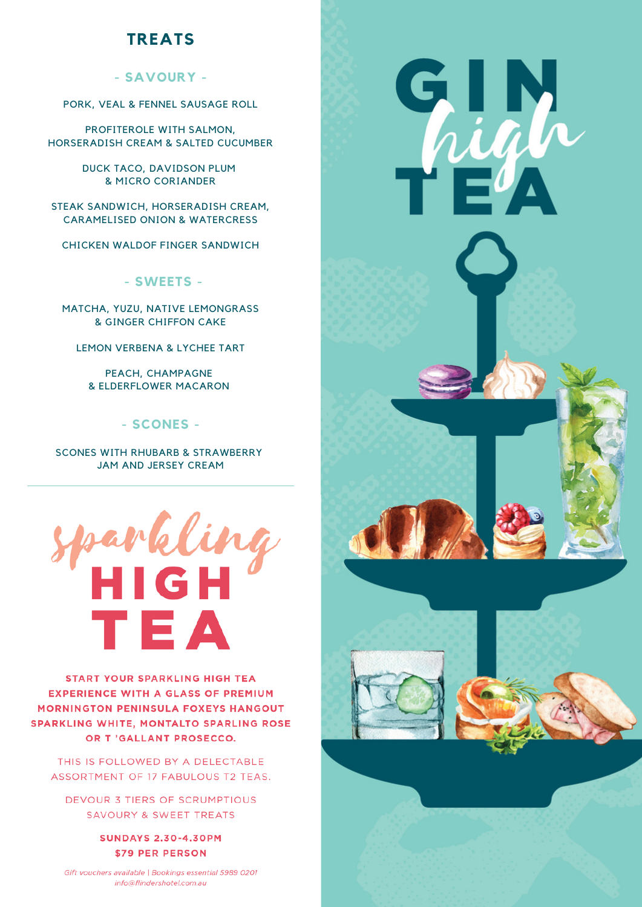## **TREATS**

#### **- SAVOURY -**

PORK, VEAL & FENNEL SAUSAGE ROLL

PROFITEROLE WITH SALMON, HORSERADISH CREAM & SALTED CUCUMBER

> DUCK TACO, DAVIDSON PLUM & MICRO CORIANDER

STEAK SANDWICH, HORSERADISH CREAM, CARAMELISED ONION & WATERCRESS

CHICKEN WALDOF FINGER SANDWICH

**- SWEETS -**

MATCHA, YUZU, NATIVE LEMONGRASS & GINGER CHIFFON CAKE

LEMON VERBENA & LYCHEE TART

PEACH, CHAMPAGNE & ELDERFLOWER MACARON

#### **- SCONES -**

SCONES WITH RHUBARB & STRAWBERRY JAM AND JERSEY CREAM



**START YOUR SPARKLING HIGH TEA EXPERIENCE WITH A GLASS OF PREMIUM MORNINGTON PENINSULA FOXEYS HANGOUT SPARKLING WHITE, MONTALTO SPARLING ROSE** OR T'GALLANT PROSECCO.

THIS IS FOLLOWED BY A DELECTABLE ASSORTMENT OF 17 FABULOUS T2 TEAS.

DEVOUR 3 TIERS OF SCRUMPTIOUS SAVOURY & SWEET TREATS

> **SUNDAYS 2.30-4.30PM \$79 PER PERSON**

Gift vouchers available | Bookings essential 5989 0201 info@flindershotel.com.au